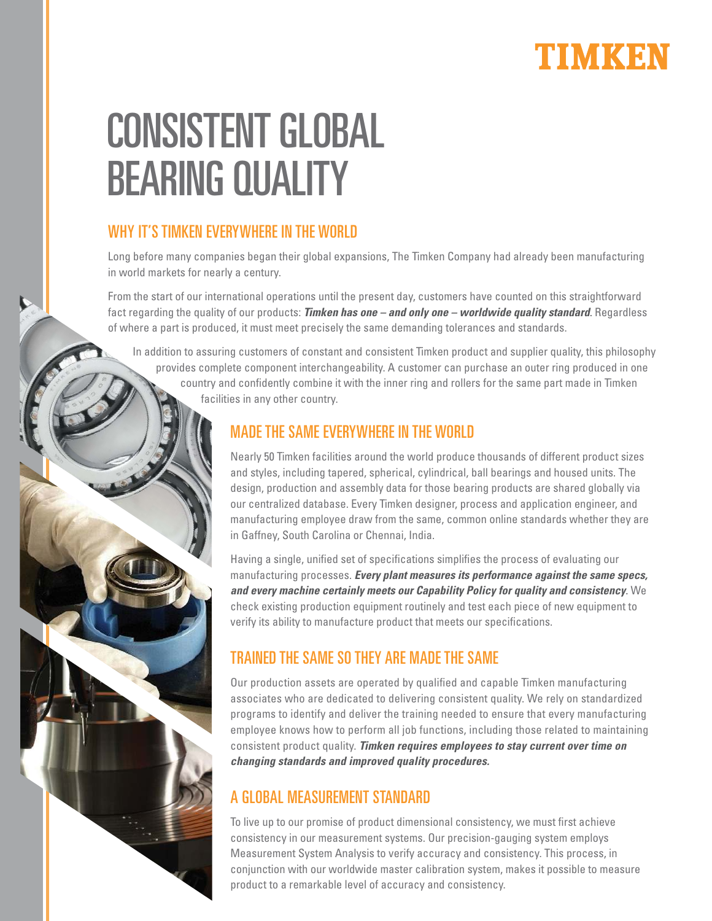

# CONSISTENT GLOBAL BEARING QUALITY

## WHY IT'S TIMKEN EVERYWHERE IN THE WORLD

Long before many companies began their global expansions, The Timken Company had already been manufacturing in world markets for nearly a century.

From the start of our international operations until the present day, customers have counted on this straightforward fact regarding the quality of our products: **Timken has one – and only one – worldwide quality standard**. Regardless of where a part is produced, it must meet precisely the same demanding tolerances and standards.

 In addition to assuring customers of constant and consistent Timken product and supplier quality, this philosophy provides complete component interchangeability. A customer can purchase an outer ring produced in one country and confidently combine it with the inner ring and rollers for the same part made in Timken facilities in any other country.

#### MADE THE SAME EVERYWHERE IN THE WORLD

Nearly 50 Timken facilities around the world produce thousands of different product sizes and styles, including tapered, spherical, cylindrical, ball bearings and housed units. The design, production and assembly data for those bearing products are shared globally via our centralized database. Every Timken designer, process and application engineer, and manufacturing employee draw from the same, common online standards whether they are in Gaffney, South Carolina or Chennai, India.

Having a single, unified set of specifications simplifies the process of evaluating our manufacturing processes. **Every plant measures its performance against the same specs, and every machine certainly meets our Capability Policy for quality and consistency**. We check existing production equipment routinely and test each piece of new equipment to verify its ability to manufacture product that meets our specifications.

# TRAINED THE SAME SO THEY ARE MADE THE SAME

Our production assets are operated by qualified and capable Timken manufacturing associates who are dedicated to delivering consistent quality. We rely on standardized programs to identify and deliver the training needed to ensure that every manufacturing employee knows how to perform all job functions, including those related to maintaining consistent product quality. **Timken requires employees to stay current over time on changing standards and improved quality procedures.** 

## A GLOBAL MEASUREMENT STANDARD

To live up to our promise of product dimensional consistency, we must first achieve consistency in our measurement systems. Our precision-gauging system employs Measurement System Analysis to verify accuracy and consistency. This process, in conjunction with our worldwide master calibration system, makes it possible to measure product to a remarkable level of accuracy and consistency.